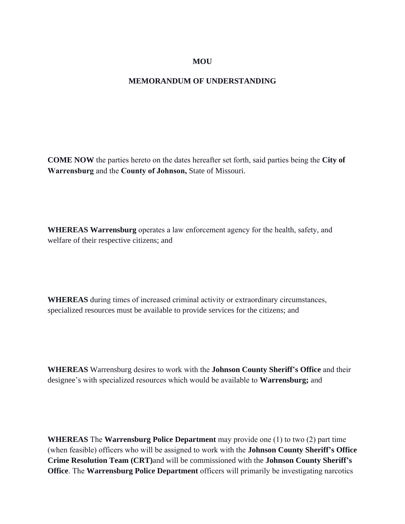## **MOU**

## **MEMORANDUM OF UNDERSTANDING**

**COME NOW** the parties hereto on the dates hereafter set forth, said parties being the **City of Warrensburg** and the **County of Johnson,** State of Missouri.

**WHEREAS Warrensburg** operates a law enforcement agency for the health, safety, and welfare of their respective citizens; and

**WHEREAS** during times of increased criminal activity or extraordinary circumstances, specialized resources must be available to provide services for the citizens; and

**WHEREAS** Warrensburg desires to work with the **Johnson County Sheriff's Office** and their designee's with specialized resources which would be available to **Warrensburg;** and

**WHEREAS** The **Warrensburg Police Department** may provide one (1) to two (2) part time (when feasible) officers who will be assigned to work with the **Johnson County Sheriff's Office Crime Resolution Team (CRT)**and will be commissioned with the **Johnson County Sheriff's Office**. The **Warrensburg Police Department** officers will primarily be investigating narcotics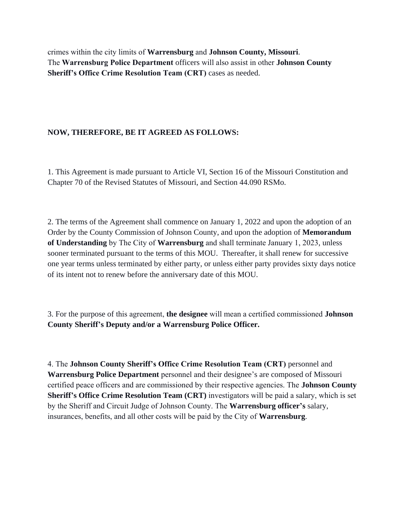crimes within the city limits of **Warrensburg** and **Johnson County, Missouri**. The **Warrensburg Police Department** officers will also assist in other **Johnson County Sheriff's Office Crime Resolution Team (CRT)** cases as needed.

## **NOW, THEREFORE, BE IT AGREED AS FOLLOWS:**

1. This Agreement is made pursuant to Article VI, Section 16 of the Missouri Constitution and Chapter 70 of the Revised Statutes of Missouri, and Section 44.090 RSMo.

2. The terms of the Agreement shall commence on January 1, 2022 and upon the adoption of an Order by the County Commission of Johnson County, and upon the adoption of **Memorandum of Understanding** by The City of **Warrensburg** and shall terminate January 1, 2023, unless sooner terminated pursuant to the terms of this MOU. Thereafter, it shall renew for successive one year terms unless terminated by either party, or unless either party provides sixty days notice of its intent not to renew before the anniversary date of this MOU.

3. For the purpose of this agreement, **the designee** will mean a certified commissioned **Johnson County Sheriff's Deputy and/or a Warrensburg Police Officer.**

4. The **Johnson County Sheriff's Office Crime Resolution Team (CRT)** personnel and **Warrensburg Police Department** personnel and their designee's are composed of Missouri certified peace officers and are commissioned by their respective agencies. The **Johnson County Sheriff's Office Crime Resolution Team (CRT)** investigators will be paid a salary, which is set by the Sheriff and Circuit Judge of Johnson County. The **Warrensburg officer's** salary, insurances, benefits, and all other costs will be paid by the City of **Warrensburg**.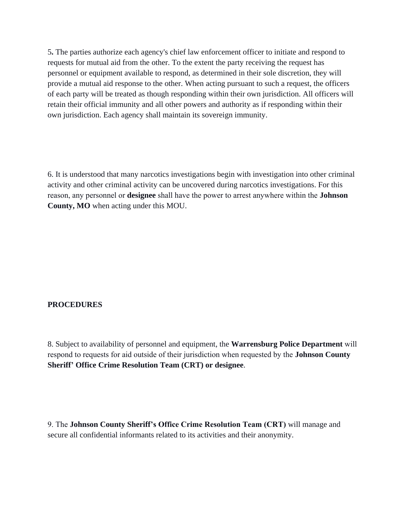5**.** The parties authorize each agency's chief law enforcement officer to initiate and respond to requests for mutual aid from the other. To the extent the party receiving the request has personnel or equipment available to respond, as determined in their sole discretion, they will provide a mutual aid response to the other. When acting pursuant to such a request, the officers of each party will be treated as though responding within their own jurisdiction. All officers will retain their official immunity and all other powers and authority as if responding within their own jurisdiction. Each agency shall maintain its sovereign immunity.

6. It is understood that many narcotics investigations begin with investigation into other criminal activity and other criminal activity can be uncovered during narcotics investigations. For this reason, any personnel or **designee** shall have the power to arrest anywhere within the **Johnson County, MO** when acting under this MOU.

## **PROCEDURES**

8. Subject to availability of personnel and equipment, the **Warrensburg Police Department** will respond to requests for aid outside of their jurisdiction when requested by the **Johnson County Sheriff' Office Crime Resolution Team (CRT) or designee**.

9. The **Johnson County Sheriff's Office Crime Resolution Team (CRT)** will manage and secure all confidential informants related to its activities and their anonymity.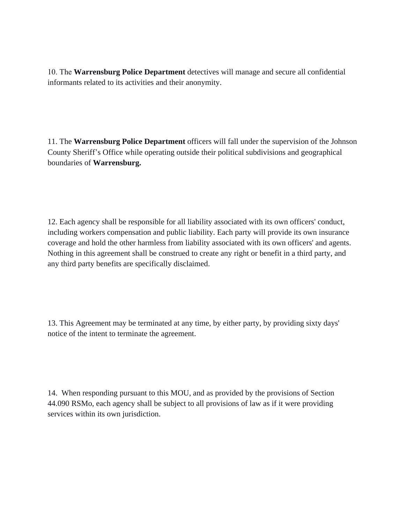10. The **Warrensburg Police Department** detectives will manage and secure all confidential informants related to its activities and their anonymity.

11. The **Warrensburg Police Department** officers will fall under the supervision of the Johnson County Sheriff's Office while operating outside their political subdivisions and geographical boundaries of **Warrensburg.**

12. Each agency shall be responsible for all liability associated with its own officers' conduct, including workers compensation and public liability. Each party will provide its own insurance coverage and hold the other harmless from liability associated with its own officers' and agents. Nothing in this agreement shall be construed to create any right or benefit in a third party, and any third party benefits are specifically disclaimed.

13. This Agreement may be terminated at any time, by either party, by providing sixty days' notice of the intent to terminate the agreement.

14. When responding pursuant to this MOU, and as provided by the provisions of Section 44.090 RSMo, each agency shall be subject to all provisions of law as if it were providing services within its own jurisdiction.